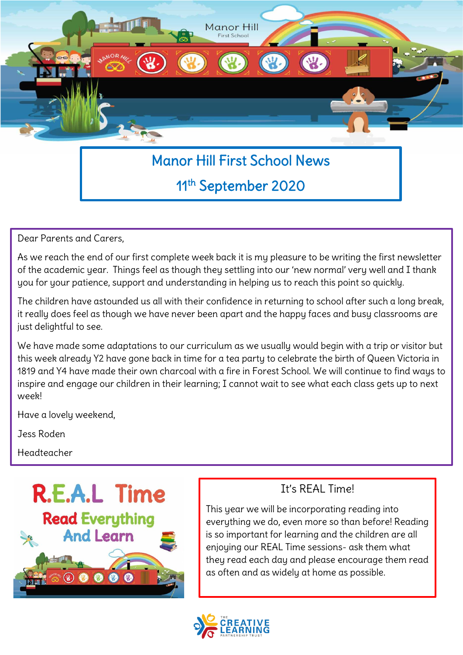

# 11th September 2020

Dear Parents and Carers,

As we reach the end of our first complete week back it is my pleasure to be writing the first newsletter of the academic year. Things feel as though they settling into our 'new normal' very well and I thank you for your patience, support and understanding in helping us to reach this point so quickly.

The children have astounded us all with their confidence in returning to school after such a long break, it really does feel as though we have never been apart and the happy faces and busy classrooms are just delightful to see.

We have made some adaptations to our curriculum as we usually would begin with a trip or visitor but this week already Y2 have gone back in time for a tea party to celebrate the birth of Queen Victoria in 1819 and Y4 have made their own charcoal with a fire in Forest School. We will continue to find ways to inspire and engage our children in their learning; I cannot wait to see what each class gets up to next week!

Have a lovely weekend,

Jess Roden

Headteacher



#### It's REAL Time!

This year we will be incorporating reading into everything we do, even more so than before! Reading is so important for learning and the children are all enjoying our REAL Time sessions- ask them what they read each day and please encourage them read as often and as widely at home as possible.